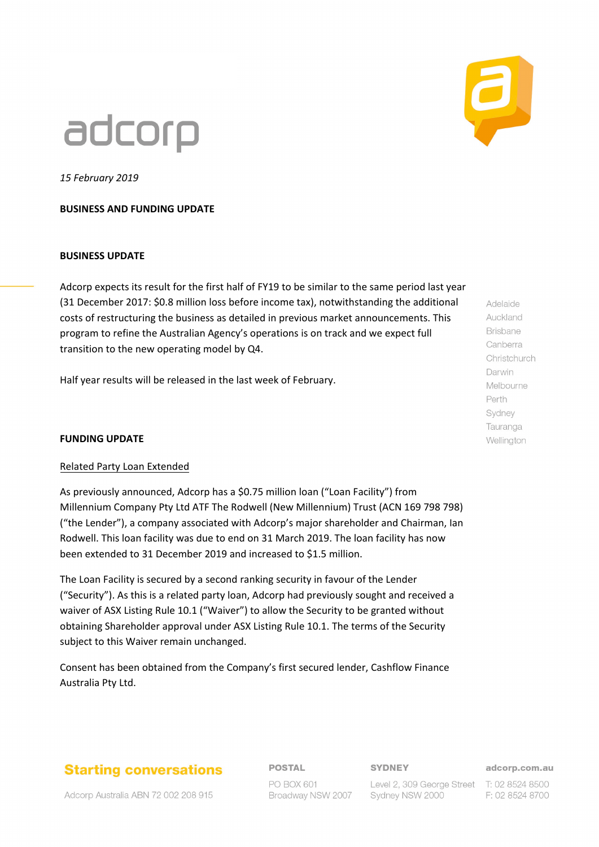# adcorp



*15 February 2019*

## **BUSINESS AND FUNDING UPDATE**

### **BUSINESS UPDATE**

Adcorp expects its result for the first half of FY19 to be similar to the same period last year (31 December 2017: \$0.8 million loss before income tax), notwithstanding the additional costs of restructuring the business as detailed in previous market announcements. This program to refine the Australian Agency's operations is on track and we expect full transition to the new operating model by Q4.

Half year results will be released in the last week of February.

### **FUNDING UPDATE**

### Related Party Loan Extended

As previously announced, Adcorp has a \$0.75 million loan ("Loan Facility") from Millennium Company Pty Ltd ATF The Rodwell (New Millennium) Trust (ACN 169 798 798) ("the Lender"), a company associated with Adcorp's major shareholder and Chairman, Ian Rodwell. This loan facility was due to end on 31 March 2019. The loan facility has now been extended to 31 December 2019 and increased to \$1.5 million.

The Loan Facility is secured by a second ranking security in favour of the Lender ("Security"). As this is a related party loan, Adcorp had previously sought and received a waiver of ASX Listing Rule 10.1 ("Waiver") to allow the Security to be granted without obtaining Shareholder approval under ASX Listing Rule 10.1. The terms of the Security subject to this Waiver remain unchanged.

Consent has been obtained from the Company's first secured lender, Cashflow Finance Australia Pty Ltd.

# **Starting conversations**

Adcorp Australia ABN 72 002 208 915

**POSTAL** 

# **SYDNEY**

PO BOX 601 Broadway NSW 2007

adcorp.com.au

Level 2, 309 George Street T: 02 8524 8500 Sydney NSW 2000

F: 02 8524 8700

Auckland **Brisbane** Canberra Christchurch Darwin Melbourne Perth Sydney Tauranga Wellington

Adelaide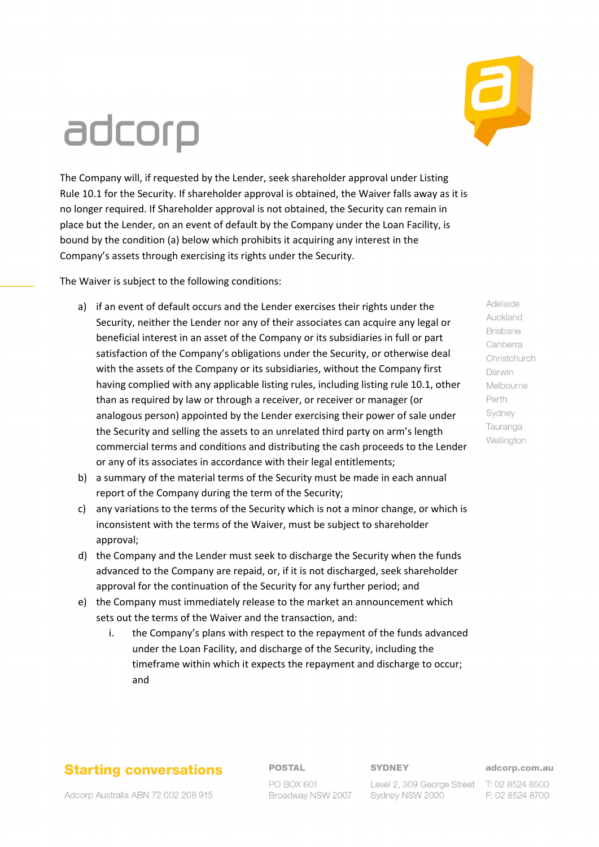# adcorp

The Company will, if requested by the Lender, seek shareholder approval under Listing Rule 10.1 for the Security. If shareholder approval is obtained, the Waiver falls away as it is no longer required. If Shareholder approval is not obtained, the Security can remain in place but the Lender, on an event of default by the Company under the Loan Facility, is bound by the condition (a) below which prohibits it acquiring any interest in the Company's assets through exercising its rights under the Security.

The Waiver is subject to the following conditions:

- a) if an event of default occurs and the Lender exercises their rights under the Security, neither the Lender nor any of their associates can acquire any legal or beneficial interest in an asset of the Company or its subsidiaries in full or part satisfaction of the Company's obligations under the Security, or otherwise deal with the assets of the Company or its subsidiaries, without the Company first having complied with any applicable listing rules, including listing rule 10.1, other than as required by law or through a receiver, or receiver or manager (or analogous person) appointed by the Lender exercising their power of sale under the Security and selling the assets to an unrelated third party on arm's length commercial terms and conditions and distributing the cash proceeds to the Lender or any of its associates in accordance with their legal entitlements;
- b) a summary of the material terms of the Security must be made in each annual report of the Company during the term of the Security;
- c) any variations to the terms of the Security which is not a minor change, or which is inconsistent with the terms of the Waiver, must be subject to shareholder approval;
- d) the Company and the Lender must seek to discharge the Security when the funds advanced to the Company are repaid, or, if it is not discharged, seek shareholder approval for the continuation of the Security for any further period; and
- e) the Company must immediately release to the market an announcement which sets out the terms of the Waiver and the transaction, and:
	- i. the Company's plans with respect to the repayment of the funds advanced under the Loan Facility, and discharge of the Security, including the timeframe within which it expects the repayment and discharge to occur; and

# **Starting conversations**

**POSTAL** 

## **SYDNEY**

#### adcorp.com.au

PO BOX 601 Broadway NSW 2007

Level 2, 309 George Street T: 02 8524 8500 Sydney NSW 2000

F: 02 8524 8700

Adcorp Australia ABN 72 002 208 915